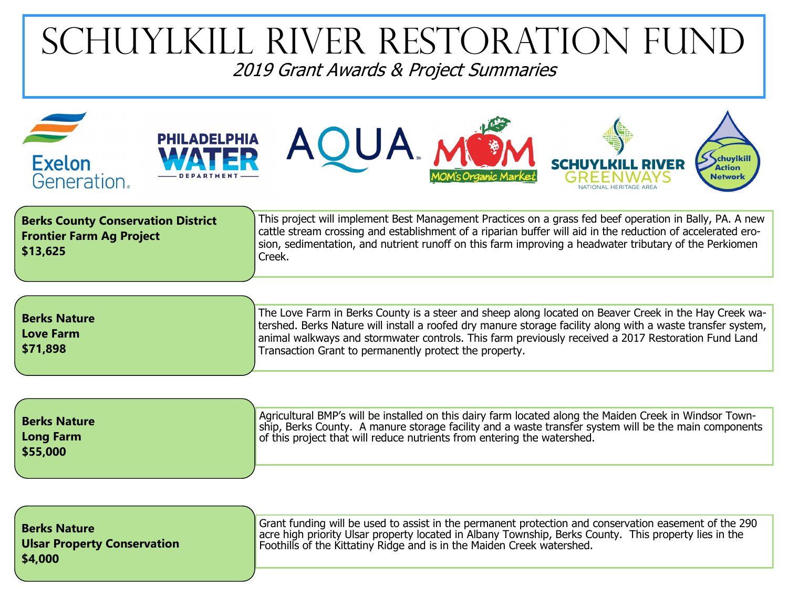## Schuylkill River Restoration Fund 2019 Grant Awards & Project Summaries

| <b>Exelon</b><br>Generation.                                                             | <b>PHILADELPHIA</b> | <b>AQUA</b>                                                                                                                                                                                                                                                                                                                                                                           | NATIONAL HERITAGE AREA | chuylkill<br><b>Action</b><br><b>Network</b> |
|------------------------------------------------------------------------------------------|---------------------|---------------------------------------------------------------------------------------------------------------------------------------------------------------------------------------------------------------------------------------------------------------------------------------------------------------------------------------------------------------------------------------|------------------------|----------------------------------------------|
| <b>Berks County Conservation District</b><br><b>Frontier Farm Ag Project</b><br>\$13,625 |                     | This project will implement Best Management Practices on a grass fed beef operation in Bally, PA. A new<br>cattle stream crossing and establishment of a riparian buffer will aid in the reduction of accelerated ero-<br>sion, sedimentation, and nutrient runoff on this farm improving a headwater tributary of the Perkiomen<br>Creek.                                            |                        |                                              |
| <b>Berks Nature</b><br><b>Love Farm</b><br>\$71,898                                      |                     | The Love Farm in Berks County is a steer and sheep along located on Beaver Creek in the Hay Creek wa-<br>tershed. Berks Nature will install a roofed dry manure storage facility along with a waste transfer system,<br>animal walkways and stormwater controls. This farm previously received a 2017 Restoration Fund Land<br>Transaction Grant to permanently protect the property. |                        |                                              |

| <b>Berks Nature</b><br>Long Farm<br>\$55,000 | Agricultural BMP's will be installed on this dairy farm located along the Maiden Creek in Windsor Town-<br>ship, Berks County. A manure storage facility and a waste transfer system will be the main components<br>of this project that will reduce nutrients from entering the watershed. |
|----------------------------------------------|---------------------------------------------------------------------------------------------------------------------------------------------------------------------------------------------------------------------------------------------------------------------------------------------|
|                                              |                                                                                                                                                                                                                                                                                             |

| <b>Berks Nature</b><br><b>Ulsar Property Conservation</b><br>\$4,000 | Grant funding will be used to assist in the permanent protection and conservation easement of the 290<br>acre high priority Ulsar property located in Albany Township, Berks County. This property lies in the<br>Foothills of the Kittatiny Ridge and is in the Maiden Creek watershed. |
|----------------------------------------------------------------------|------------------------------------------------------------------------------------------------------------------------------------------------------------------------------------------------------------------------------------------------------------------------------------------|
|                                                                      |                                                                                                                                                                                                                                                                                          |